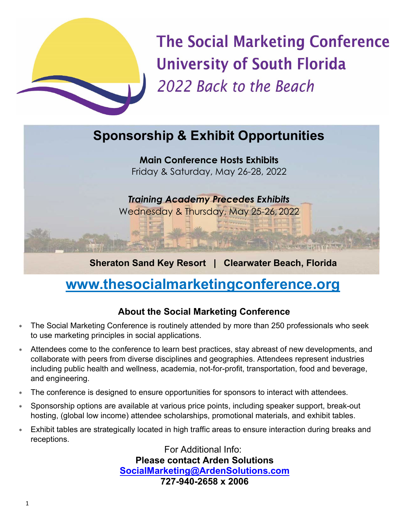

**The Social Marketing Conference University of South Florida** 2022 Back to the Beach

# **Sponsorship & Exhibit Opportunities**

**Main Conference Hosts Exhibits** Friday & Saturday, May 26-28, 2022

*Training Academy Precedes Exhibits* Wednesday & Thursday, May 25-26, 2022

**Sheraton Sand Key Resort | Clearwater Beach, Florida**

# **[www.thesocialmarketingconference.org](http://www.thesocialmarketingconference.org/)**

**The Leaders** With

# **About the Social Marketing Conference**

- ∗ The Social Marketing Conference is routinely attended by more than 250 professionals who seek to use marketing principles in social applications.
- Attendees come to the conference to learn best practices, stay abreast of new developments, and collaborate with peers from diverse disciplines and geographies. Attendees represent industries including public health and wellness, academia, not-for-profit, transportation, food and beverage, and engineering.
- ∗ The conference is designed to ensure opportunities for sponsors to interact with attendees.
- ∗ Sponsorship options are available at various price points, including speaker support, break-out hosting, (global low income) attendee scholarships, promotional materials, and exhibit tables.
- ∗ Exhibit tables are strategically located in high traffic areas to ensure interaction during breaks and receptions.

For Additional Info: **Please contact Arden Solutions [SocialMarketing@ArdenSolutions.com](mailto:SocialMarketing@ArdenSolutions.com) 727-940-2658 x 2006**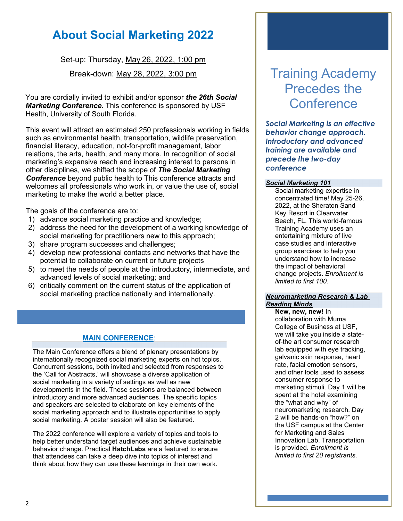# **About Social Marketing 2022**

Set-up: Thursday, May 26, 2022, 1:00 pm

Break-down: May 28, 2022, 3:00 pm

You are cordially invited to exhibit and/or sponsor *the 26th Social Marketing Conference*. This conference is sponsored by USF Health, University of South Florida.

This event will attract an estimated 250 professionals working in fields such as environmental health, transportation, wildlife preservation, financial literacy, education, not-for-profit management, labor relations, the arts, health, and many more. In recognition of social marketing's expansive reach and increasing interest to persons in other disciplines, we shifted the scope of *The Social Marketing Conference* beyond public health to This conference attracts and welcomes all professionals who work in, or value the use of, social marketing to make the world a better place.

The goals of the conference are to:

- 1) advance social marketing practice and knowledge;
- 2) address the need for the development of a working knowledge of social marketing for practitioners new to this approach;
- 3) share program successes and challenges;
- 4) develop new professional contacts and networks that have the potential to collaborate on current or future projects
- 5) to meet the needs of people at the introductory, intermediate, and advanced levels of social marketing; and
- 6) critically comment on the current status of the application of social marketing practice nationally and internationally.

# **MAIN CONFERENCE**:

The Main Conference offers a blend of plenary presentations by internationally recognized social marketing experts on hot topics. Concurrent sessions, both invited and selected from responses to the 'Call for Abstracts,' will showcase a diverse application of social marketing in a variety of settings as well as new developments in the field. These sessions are balanced between introductory and more advanced audiences. The specific topics and speakers are selected to elaborate on key elements of the social marketing approach and to illustrate opportunities to apply social marketing. A poster session will also be featured.

The 2022 conference will explore a variety of topics and tools to help better understand target audiences and achieve sustainable behavior change. Practical **HatchLabs** are a featured to ensure that attendees can take a deep dive into topics of interest and think about how they can use these learnings in their own work.

# Training Academy Precedes the **Conference**

*Social Marketing is an effective behavior change approach. Introductory and advanced training are available and precede the two-day conference*

### *Social Marketing 101*

Social marketing expertise in concentrated time! May 25-26, 2022, at the Sheraton Sand Key Resort in Clearwater Beach, FL. This world-famous Training Academy uses an entertaining mixture of live case studies and interactive group exercises to help you understand how to increase the impact of behavioral change projects. *Enrollment is limited to first 100.*

#### *Neuromarketing Research & Lab Reading Minds*

**New, new, new!** In collaboration with Muma College of Business at USF, we will take you inside a stateof-the art consumer research lab equipped with eye tracking, galvanic skin response, heart rate, facial emotion sensors, and other tools used to assess consumer response to marketing stimuli. Day 1 will be spent at the hotel examining the "what and why" of neuromarketing research. Day 2 will be hands-on "how?" on the USF campus at the Center for Marketing and Sales Innovation Lab. Transportation is provided. *Enrollment is limited to first 20 registrants.*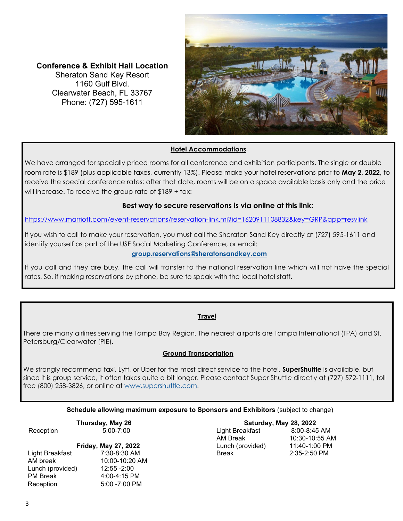**Conference & Exhibit Hall Location** Sheraton Sand Key Resort 1160 Gulf Blvd. Clearwater Beach, FL 33767 Phone: (727) 595‐1611



# **Hotel Accommodations**

We have arranged for specially priced rooms for all conference and exhibition participants. The single or double room rate is \$189 (plus applicable taxes, currently 13%). Please make your hotel reservations prior to **May 2, 2022,** to receive the special conference rates: after that date, rooms will be on a space available basis only and the price will increase. To receive the group rate of \$189 + tax:

## **Best way to secure reservations is via online at this link:**

<https://www.marriott.com/event-reservations/reservation-link.mi?id=1620911108832&key=GRP&app=resvlink>

If you wish to call to make your reservation, you must call the Sheraton Sand Key directly at (727) 595-1611 and identify yourself as part of the USF Social Marketing Conference, or email:

### **[group.reservations@sheratonsandkey.com](mailto:group.reservations@sheratonsandkey.com)**

If you call and they are busy, the call will transfer to the national reservation line which will not have the special rates. So, if making reservations by phone, be sure to speak with the local hotel staff.

### **Travel**

There are many airlines serving the Tampa Bay Region. The nearest airports are Tampa International (TPA) and St. Petersburg/Clearwater (PIE).

### **Ground Transportation**

We strongly recommend taxi, Lyft, or Uber for the most direct service to the hotel. **SuperShuttle** is available, but since it is group service, it often takes quite a bit longer. Please contact Super Shuttle directly at (727) 572-1111, toll free (800) 258-3826, or online at [www.supershuttle.com.](http://www.supershuttle.com/) 

#### **Schedule allowing maximum exposure to Sponsors and Exhibitors** (subject to change)

**Thursday, May 26** Reception 5:00-7:00

# **Friday, May 27, 2022** Light Breakfast 7:30-8:30 AM

| AM break         | 10:00-10:20 AM   |
|------------------|------------------|
| Lunch (provided) | 12:55 -2:00      |
| PM Break         | $4:00 - 4:15$ PM |
| Reception        | $5:00 - 7:00$ PM |
|                  |                  |

**Saturday, May 28, 2022** Light Breakfast 8:00-8:45 AM AM Break 10:30-10:55 AM<br>
Lunch (provided) 11:40-1:00 PM Lunch (provided) Break 2:35-2:50 PM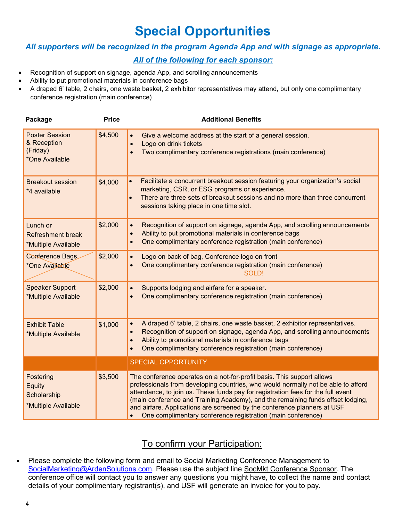# **Special Opportunities**

# *All supporters will be recognized in the program Agenda App and with signage as appropriate.*

# *All of the following for each sponsor:*

- Recognition of support on signage, agenda App, and scrolling announcements
- Ability to put promotional materials in conference bags
- A draped 6' table, 2 chairs, one waste basket, 2 exhibitor representatives may attend, but only one complimentary conference registration (main conference)

| Package                                                            | <b>Price</b> | <b>Additional Benefits</b>                                                                                                                                                                                                                                                                                                                                                                                                                                                    |
|--------------------------------------------------------------------|--------------|-------------------------------------------------------------------------------------------------------------------------------------------------------------------------------------------------------------------------------------------------------------------------------------------------------------------------------------------------------------------------------------------------------------------------------------------------------------------------------|
| <b>Poster Session</b><br>& Reception<br>(Friday)<br>*One Available | \$4,500      | Give a welcome address at the start of a general session.<br>Logo on drink tickets<br>Two complimentary conference registrations (main conference)                                                                                                                                                                                                                                                                                                                            |
| <b>Breakout session</b><br>*4 available                            | \$4,000      | Facilitate a concurrent breakout session featuring your organization's social<br>$\bullet$<br>marketing, CSR, or ESG programs or experience.<br>There are three sets of breakout sessions and no more than three concurrent<br>sessions taking place in one time slot.                                                                                                                                                                                                        |
| Lunch or<br><b>Refreshment break</b><br>*Multiple Available        | \$2,000      | Recognition of support on signage, agenda App, and scrolling announcements<br>Ability to put promotional materials in conference bags<br>One complimentary conference registration (main conference)                                                                                                                                                                                                                                                                          |
| Conference Bags<br>*One Available                                  | \$2,000      | Logo on back of bag, Conference logo on front<br>One complimentary conference registration (main conference)<br><b>SOLD!</b>                                                                                                                                                                                                                                                                                                                                                  |
| <b>Speaker Support</b><br>*Multiple Available                      | \$2,000      | Supports lodging and airfare for a speaker.<br>One complimentary conference registration (main conference)                                                                                                                                                                                                                                                                                                                                                                    |
| <b>Exhibit Table</b><br>*Multiple Available                        | \$1,000      | A draped 6' table, 2 chairs, one waste basket, 2 exhibitor representatives.<br>Recognition of support on signage, agenda App, and scrolling announcements<br>Ability to promotional materials in conference bags<br>One complimentary conference registration (main conference)                                                                                                                                                                                               |
|                                                                    |              | <b>SPECIAL OPPORTUNITY</b>                                                                                                                                                                                                                                                                                                                                                                                                                                                    |
| Fostering<br>Equity<br>Scholarship<br>*Multiple Available          | \$3,500      | The conference operates on a not-for-profit basis. This support allows<br>professionals from developing countries, who would normally not be able to afford<br>attendance, to join us. These funds pay for registration fees for the full event<br>(main conference and Training Academy), and the remaining funds offset lodging,<br>and airfare. Applications are screened by the conference planners at USF<br>One complimentary conference registration (main conference) |

# To confirm your Participation:

• Please complete the following form and email to Social Marketing Conference Management to [SocialMarketing@ArdenSolutions.com.](mailto:SocialMarketing@ArdenSolutions.com) Please use the subject line SocMkt Conference Sponsor. The conference office will contact you to answer any questions you might have, to collect the name and contact details of your complimentary registrant(s), and USF will generate an invoice for you to pay.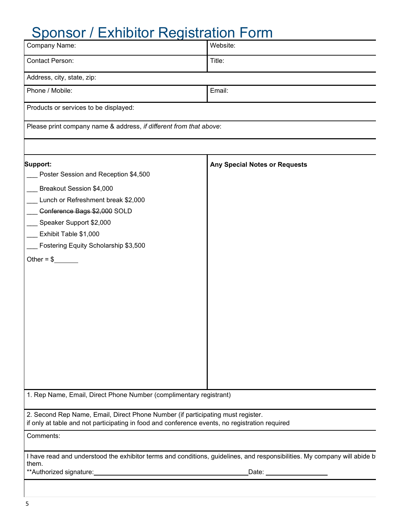# Sponsor / Exhibitor Registration Form

| Title:<br>Email:<br>Please print company name & address, if different from that above:<br><b>Any Special Notes or Requests</b><br>Poster Session and Reception \$4,500<br>Breakout Session \$4,000<br>Lunch or Refreshment break \$2,000<br>Conference Bags \$2,000 SOLD<br>Speaker Support \$2,000<br>Exhibit Table \$1,000<br>Fostering Equity Scholarship \$3,500<br>Other = $\frac{6}{2}$<br>2. Second Rep Name, Email, Direct Phone Number (if participating must register.<br>if only at table and not participating in food and conference events, no registration required<br>I have read and understood the exhibitor terms and conditions, guidelines, and responsibilities. My company will abide b<br>**Authorized signature:<br>Date: | Company Name:                                                      | Website: |  |  |
|----------------------------------------------------------------------------------------------------------------------------------------------------------------------------------------------------------------------------------------------------------------------------------------------------------------------------------------------------------------------------------------------------------------------------------------------------------------------------------------------------------------------------------------------------------------------------------------------------------------------------------------------------------------------------------------------------------------------------------------------------|--------------------------------------------------------------------|----------|--|--|
|                                                                                                                                                                                                                                                                                                                                                                                                                                                                                                                                                                                                                                                                                                                                                    | <b>Contact Person:</b>                                             |          |  |  |
|                                                                                                                                                                                                                                                                                                                                                                                                                                                                                                                                                                                                                                                                                                                                                    | Address, city, state, zip:                                         |          |  |  |
|                                                                                                                                                                                                                                                                                                                                                                                                                                                                                                                                                                                                                                                                                                                                                    | Phone / Mobile:                                                    |          |  |  |
|                                                                                                                                                                                                                                                                                                                                                                                                                                                                                                                                                                                                                                                                                                                                                    | Products or services to be displayed:                              |          |  |  |
|                                                                                                                                                                                                                                                                                                                                                                                                                                                                                                                                                                                                                                                                                                                                                    |                                                                    |          |  |  |
|                                                                                                                                                                                                                                                                                                                                                                                                                                                                                                                                                                                                                                                                                                                                                    | Support:                                                           |          |  |  |
|                                                                                                                                                                                                                                                                                                                                                                                                                                                                                                                                                                                                                                                                                                                                                    |                                                                    |          |  |  |
|                                                                                                                                                                                                                                                                                                                                                                                                                                                                                                                                                                                                                                                                                                                                                    |                                                                    |          |  |  |
|                                                                                                                                                                                                                                                                                                                                                                                                                                                                                                                                                                                                                                                                                                                                                    |                                                                    |          |  |  |
|                                                                                                                                                                                                                                                                                                                                                                                                                                                                                                                                                                                                                                                                                                                                                    |                                                                    |          |  |  |
|                                                                                                                                                                                                                                                                                                                                                                                                                                                                                                                                                                                                                                                                                                                                                    |                                                                    |          |  |  |
|                                                                                                                                                                                                                                                                                                                                                                                                                                                                                                                                                                                                                                                                                                                                                    |                                                                    |          |  |  |
|                                                                                                                                                                                                                                                                                                                                                                                                                                                                                                                                                                                                                                                                                                                                                    |                                                                    |          |  |  |
|                                                                                                                                                                                                                                                                                                                                                                                                                                                                                                                                                                                                                                                                                                                                                    |                                                                    |          |  |  |
|                                                                                                                                                                                                                                                                                                                                                                                                                                                                                                                                                                                                                                                                                                                                                    |                                                                    |          |  |  |
|                                                                                                                                                                                                                                                                                                                                                                                                                                                                                                                                                                                                                                                                                                                                                    |                                                                    |          |  |  |
|                                                                                                                                                                                                                                                                                                                                                                                                                                                                                                                                                                                                                                                                                                                                                    |                                                                    |          |  |  |
|                                                                                                                                                                                                                                                                                                                                                                                                                                                                                                                                                                                                                                                                                                                                                    |                                                                    |          |  |  |
|                                                                                                                                                                                                                                                                                                                                                                                                                                                                                                                                                                                                                                                                                                                                                    |                                                                    |          |  |  |
|                                                                                                                                                                                                                                                                                                                                                                                                                                                                                                                                                                                                                                                                                                                                                    |                                                                    |          |  |  |
|                                                                                                                                                                                                                                                                                                                                                                                                                                                                                                                                                                                                                                                                                                                                                    |                                                                    |          |  |  |
|                                                                                                                                                                                                                                                                                                                                                                                                                                                                                                                                                                                                                                                                                                                                                    |                                                                    |          |  |  |
|                                                                                                                                                                                                                                                                                                                                                                                                                                                                                                                                                                                                                                                                                                                                                    |                                                                    |          |  |  |
|                                                                                                                                                                                                                                                                                                                                                                                                                                                                                                                                                                                                                                                                                                                                                    |                                                                    |          |  |  |
|                                                                                                                                                                                                                                                                                                                                                                                                                                                                                                                                                                                                                                                                                                                                                    | 1. Rep Name, Email, Direct Phone Number (complimentary registrant) |          |  |  |
|                                                                                                                                                                                                                                                                                                                                                                                                                                                                                                                                                                                                                                                                                                                                                    |                                                                    |          |  |  |
|                                                                                                                                                                                                                                                                                                                                                                                                                                                                                                                                                                                                                                                                                                                                                    | Comments:                                                          |          |  |  |
|                                                                                                                                                                                                                                                                                                                                                                                                                                                                                                                                                                                                                                                                                                                                                    |                                                                    |          |  |  |
|                                                                                                                                                                                                                                                                                                                                                                                                                                                                                                                                                                                                                                                                                                                                                    | them.                                                              |          |  |  |
|                                                                                                                                                                                                                                                                                                                                                                                                                                                                                                                                                                                                                                                                                                                                                    |                                                                    |          |  |  |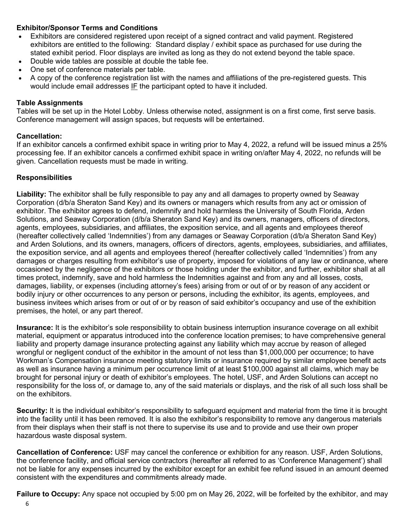# **Exhibitor/Sponsor Terms and Conditions**

- Exhibitors are considered registered upon receipt of a signed contract and valid payment. Registered exhibitors are entitled to the following: Standard display / exhibit space as purchased for use during the stated exhibit period. Floor displays are invited as long as they do not extend beyond the table space.
- Double wide tables are possible at double the table fee.
- One set of conference materials per table.
- A copy of the conference registration list with the names and affiliations of the pre-registered guests. This would include email addresses IF the participant opted to have it included.

# **Table Assignments**

Tables will be set up in the Hotel Lobby. Unless otherwise noted, assignment is on a first come, first serve basis. Conference management will assign spaces, but requests will be entertained.

# **Cancellation:**

If an exhibitor cancels a confirmed exhibit space in writing prior to May 4, 2022, a refund will be issued minus a 25% processing fee. If an exhibitor cancels a confirmed exhibit space in writing on/after May 4, 2022, no refunds will be given. Cancellation requests must be made in writing.

# **Responsibilities**

**Liability:** The exhibitor shall be fully responsible to pay any and all damages to property owned by Seaway Corporation (d/b/a Sheraton Sand Key) and its owners or managers which results from any act or omission of exhibitor. The exhibitor agrees to defend, indemnify and hold harmless the University of South Florida, Arden Solutions, and Seaway Corporation (d/b/a Sheraton Sand Key) and its owners, managers, officers of directors, agents, employees, subsidiaries, and affiliates, the exposition service, and all agents and employees thereof (hereafter collectively called 'Indemnities') from any damages or Seaway Corporation (d/b/a Sheraton Sand Key) and Arden Solutions, and its owners, managers, officers of directors, agents, employees, subsidiaries, and affiliates, the exposition service, and all agents and employees thereof (hereafter collectively called 'Indemnities') from any damages or charges resulting from exhibitor's use of property, imposed for violations of any law or ordinance, where occasioned by the negligence of the exhibitors or those holding under the exhibitor, and further, exhibitor shall at all times protect, indemnify, save and hold harmless the Indemnities against and from any and all losses, costs, damages, liability, or expenses (including attorney's fees) arising from or out of or by reason of any accident or bodily injury or other occurrences to any person or persons, including the exhibitor, its agents, employees, and business invitees which arises from or out of or by reason of said exhibitor's occupancy and use of the exhibition premises, the hotel, or any part thereof.

**Insurance:** It is the exhibitor's sole responsibility to obtain business interruption insurance coverage on all exhibit material, equipment or apparatus introduced into the conference location premises; to have comprehensive general liability and property damage insurance protecting against any liability which may accrue by reason of alleged wrongful or negligent conduct of the exhibitor in the amount of not less than \$1,000,000 per occurrence; to have Workman's Compensation insurance meeting statutory limits or insurance required by similar employee benefit acts as well as insurance having a minimum per occurrence limit of at least \$100,000 against all claims, which may be brought for personal injury or death of exhibitor's employees. The hotel, USF, and Arden Solutions can accept no responsibility for the loss of, or damage to, any of the said materials or displays, and the risk of all such loss shall be on the exhibitors.

**Security:** It is the individual exhibitor's responsibility to safeguard equipment and material from the time it is brought into the facility until it has been removed. It is also the exhibitor's responsibility to remove any dangerous materials from their displays when their staff is not there to supervise its use and to provide and use their own proper hazardous waste disposal system.

**Cancellation of Conference:** USF may cancel the conference or exhibition for any reason. USF, Arden Solutions, the conference facility, and official service contractors (hereafter all referred to as 'Conference Management') shall not be liable for any expenses incurred by the exhibitor except for an exhibit fee refund issued in an amount deemed consistent with the expenditures and commitments already made.

**Failure to Occupy:** Any space not occupied by 5:00 pm on May 26, 2022, will be forfeited by the exhibitor, and may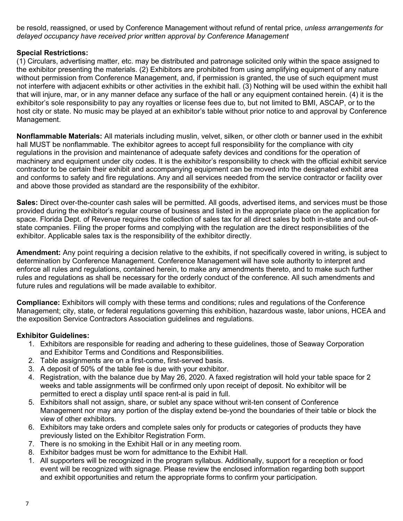be resold, reassigned, or used by Conference Management without refund of rental price, *unless arrangements for delayed occupancy have received prior written approval by Conference Management*

# **Special Restrictions:**

(1) Circulars, advertising matter, etc. may be distributed and patronage solicited only within the space assigned to the exhibitor presenting the materials. (2) Exhibitors are prohibited from using amplifying equipment of any nature without permission from Conference Management, and, if permission is granted, the use of such equipment must not interfere with adjacent exhibits or other activities in the exhibit hall. (3) Nothing will be used within the exhibit hall that will injure, mar, or in any manner deface any surface of the hall or any equipment contained herein. (4) it is the exhibitor's sole responsibility to pay any royalties or license fees due to, but not limited to BMI, ASCAP, or to the host city or state. No music may be played at an exhibitor's table without prior notice to and approval by Conference Management.

**Nonflammable Materials:** All materials including muslin, velvet, silken, or other cloth or banner used in the exhibit hall MUST be nonflammable. The exhibitor agrees to accept full responsibility for the compliance with city regulations in the provision and maintenance of adequate safety devices and conditions for the operation of machinery and equipment under city codes. It is the exhibitor's responsibility to check with the official exhibit service contractor to be certain their exhibit and accompanying equipment can be moved into the designated exhibit area and conforms to safety and fire regulations. Any and all services needed from the service contractor or facility over and above those provided as standard are the responsibility of the exhibitor.

**Sales:** Direct over-the-counter cash sales will be permitted. All goods, advertised items, and services must be those provided during the exhibitor's regular course of business and listed in the appropriate place on the application for space. Florida Dept. of Revenue requires the collection of sales tax for all direct sales by both in-state and out-ofstate companies. Filing the proper forms and complying with the regulation are the direct responsibilities of the exhibitor. Applicable sales tax is the responsibility of the exhibitor directly.

**Amendment:** Any point requiring a decision relative to the exhibits, if not specifically covered in writing, is subject to determination by Conference Management. Conference Management will have sole authority to interpret and enforce all rules and regulations, contained herein, to make any amendments thereto, and to make such further rules and regulations as shall be necessary for the orderly conduct of the conference. All such amendments and future rules and regulations will be made available to exhibitor.

**Compliance:** Exhibitors will comply with these terms and conditions; rules and regulations of the Conference Management; city, state, or federal regulations governing this exhibition, hazardous waste, labor unions, HCEA and the exposition Service Contractors Association guidelines and regulations.

## **Exhibitor Guidelines:**

- 1. Exhibitors are responsible for reading and adhering to these guidelines, those of Seaway Corporation and Exhibitor Terms and Conditions and Responsibilities.
- 2. Table assignments are on a first-come, first-served basis.
- 3. A deposit of 50% of the table fee is due with your exhibitor.
- 4. Registration, with the balance due by May 26, 2020. A faxed registration will hold your table space for 2 weeks and table assignments will be confirmed only upon receipt of deposit. No exhibitor will be permitted to erect a display until space rent-al is paid in full.
- 5. Exhibitors shall not assign, share, or sublet any space without writ-ten consent of Conference Management nor may any portion of the display extend be-yond the boundaries of their table or block the view of other exhibitors.
- 6. Exhibitors may take orders and complete sales only for products or categories of products they have previously listed on the Exhibitor Registration Form.
- 7. There is no smoking in the Exhibit Hall or in any meeting room.
- 8. Exhibitor badges must be worn for admittance to the Exhibit Hall.
- 1. All supporters will be recognized in the program syllabus. Additionally, support for a reception or food event will be recognized with signage. Please review the enclosed information regarding both support and exhibit opportunities and return the appropriate forms to confirm your participation.